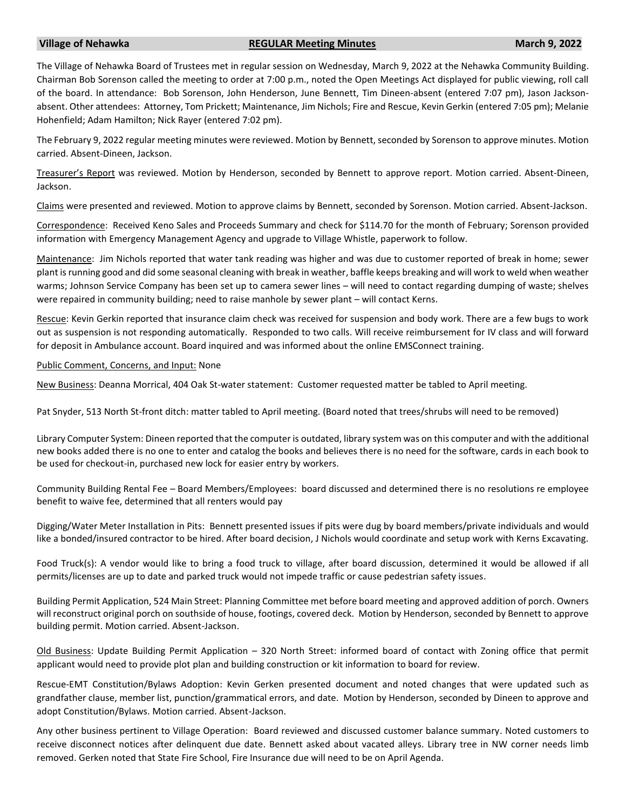## **Village of Nehawka REGULAR Meeting Minutes March 9, 2022**

The Village of Nehawka Board of Trustees met in regular session on Wednesday, March 9, 2022 at the Nehawka Community Building. Chairman Bob Sorenson called the meeting to order at 7:00 p.m., noted the Open Meetings Act displayed for public viewing, roll call of the board. In attendance: Bob Sorenson, John Henderson, June Bennett, Tim Dineen-absent (entered 7:07 pm), Jason Jacksonabsent. Other attendees: Attorney, Tom Prickett; Maintenance, Jim Nichols; Fire and Rescue, Kevin Gerkin (entered 7:05 pm); Melanie Hohenfield; Adam Hamilton; Nick Rayer (entered 7:02 pm).

The February 9, 2022 regular meeting minutes were reviewed. Motion by Bennett, seconded by Sorenson to approve minutes. Motion carried. Absent-Dineen, Jackson.

Treasurer's Report was reviewed. Motion by Henderson, seconded by Bennett to approve report. Motion carried. Absent-Dineen, Jackson.

Claims were presented and reviewed. Motion to approve claims by Bennett, seconded by Sorenson. Motion carried. Absent-Jackson.

Correspondence: Received Keno Sales and Proceeds Summary and check for \$114.70 for the month of February; Sorenson provided information with Emergency Management Agency and upgrade to Village Whistle, paperwork to follow.

Maintenance: Jim Nichols reported that water tank reading was higher and was due to customer reported of break in home; sewer plant is running good and did some seasonal cleaning with break in weather, baffle keeps breaking and will work to weld when weather warms; Johnson Service Company has been set up to camera sewer lines – will need to contact regarding dumping of waste; shelves were repaired in community building; need to raise manhole by sewer plant – will contact Kerns.

Rescue: Kevin Gerkin reported that insurance claim check was received for suspension and body work. There are a few bugs to work out as suspension is not responding automatically. Responded to two calls. Will receive reimbursement for IV class and will forward for deposit in Ambulance account. Board inquired and was informed about the online EMSConnect training.

## Public Comment, Concerns, and Input: None

New Business: Deanna Morrical, 404 Oak St-water statement: Customer requested matter be tabled to April meeting.

Pat Snyder, 513 North St-front ditch: matter tabled to April meeting. (Board noted that trees/shrubs will need to be removed)

Library Computer System: Dineen reported that the computer is outdated, library system was on this computer and with the additional new books added there is no one to enter and catalog the books and believes there is no need for the software, cards in each book to be used for checkout-in, purchased new lock for easier entry by workers.

Community Building Rental Fee – Board Members/Employees: board discussed and determined there is no resolutions re employee benefit to waive fee, determined that all renters would pay

Digging/Water Meter Installation in Pits: Bennett presented issues if pits were dug by board members/private individuals and would like a bonded/insured contractor to be hired. After board decision, J Nichols would coordinate and setup work with Kerns Excavating.

Food Truck(s): A vendor would like to bring a food truck to village, after board discussion, determined it would be allowed if all permits/licenses are up to date and parked truck would not impede traffic or cause pedestrian safety issues.

Building Permit Application, 524 Main Street: Planning Committee met before board meeting and approved addition of porch. Owners will reconstruct original porch on southside of house, footings, covered deck. Motion by Henderson, seconded by Bennett to approve building permit. Motion carried. Absent-Jackson.

Old Business: Update Building Permit Application – 320 North Street: informed board of contact with Zoning office that permit applicant would need to provide plot plan and building construction or kit information to board for review.

Rescue-EMT Constitution/Bylaws Adoption: Kevin Gerken presented document and noted changes that were updated such as grandfather clause, member list, punction/grammatical errors, and date. Motion by Henderson, seconded by Dineen to approve and adopt Constitution/Bylaws. Motion carried. Absent-Jackson.

Any other business pertinent to Village Operation: Board reviewed and discussed customer balance summary. Noted customers to receive disconnect notices after delinquent due date. Bennett asked about vacated alleys. Library tree in NW corner needs limb removed. Gerken noted that State Fire School, Fire Insurance due will need to be on April Agenda.